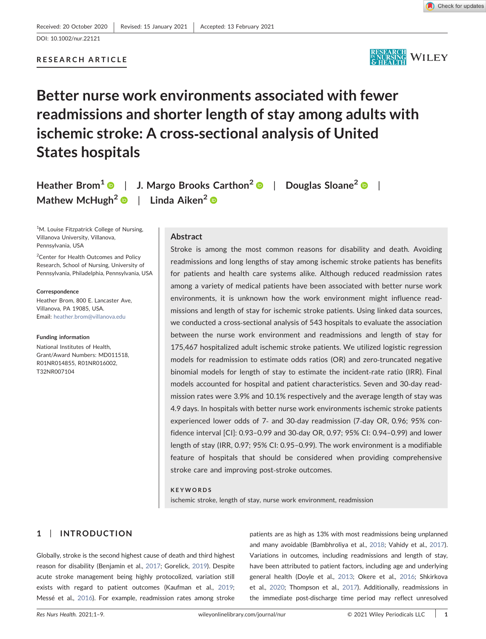

# RESEARCH ARTICLE

# Better nurse work environments associated with fewer readmissions and shorter length of stay among adults with ischemic stroke: A cross‐sectional analysis of United States hospitals

Heather Brom<sup>[1](https://orcid.org/0000-0002-4295-6372)</sup>  $\bullet$  | J. Margo Brooks Carthon<sup>[2](https://orcid.org/0000-0003-2541-9783)</sup>  $\bullet$  | Douglas Sloane<sup>2</sup>  $\bullet$  | Mathew McHugh<sup>[2](https://orcid.org/0000-0001-8004-3630)</sup>  $\bullet$  | Linda Aiken<sup>2</sup>  $\bullet$ 

<sup>1</sup>M. Louise Fitzpatrick College of Nursing, Villanova University, Villanova, Pennsylvania, USA

<sup>2</sup> Center for Health Outcomes and Policy Research, School of Nursing, University of Pennsylvania, Philadelphia, Pennsylvania, USA

Correspondence

Heather Brom, 800 E. Lancaster Ave, Villanova, PA 19085, USA. Email: [heather.brom@villanova.edu](mailto:heather.brom@villanova.edu)

Funding information National Institutes of Health, Grant/Award Numbers: MD011518, R01NR014855, R01NR016002, T32NR007104

# Abstract

Stroke is among the most common reasons for disability and death. Avoiding readmissions and long lengths of stay among ischemic stroke patients has benefits for patients and health care systems alike. Although reduced readmission rates among a variety of medical patients have been associated with better nurse work environments, it is unknown how the work environment might influence readmissions and length of stay for ischemic stroke patients. Using linked data sources, we conducted a cross‐sectional analysis of 543 hospitals to evaluate the association between the nurse work environment and readmissions and length of stay for 175,467 hospitalized adult ischemic stroke patients. We utilized logistic regression models for readmission to estimate odds ratios (OR) and zero-truncated negative binomial models for length of stay to estimate the incident-rate ratio (IRR). Final models accounted for hospital and patient characteristics. Seven and 30‐day readmission rates were 3.9% and 10.1% respectively and the average length of stay was 4.9 days. In hospitals with better nurse work environments ischemic stroke patients experienced lower odds of 7‐ and 30‐day readmission (7‐day OR, 0.96; 95% confidence interval [CI]: 0.93–0.99 and 30‐day OR, 0.97; 95% CI: 0.94–0.99) and lower length of stay (IRR, 0.97; 95% CI: 0.95–0.99). The work environment is a modifiable feature of hospitals that should be considered when providing comprehensive stroke care and improving post‐stroke outcomes.

#### KEYWORDS

ischemic stroke, length of stay, nurse work environment, readmission

# 1 | INTRODUCTION

Globally, stroke is the second highest cause of death and third highest reason for disability (Benjamin et al., [2017;](#page-7-0) Gorelick, [2019\)](#page-7-1). Despite acute stroke management being highly protocolized, variation still exists with regard to patient outcomes (Kaufman et al., [2019;](#page-7-2) Messé et al., [2016](#page-8-0)). For example, readmission rates among stroke

patients are as high as 13% with most readmissions being unplanned and many avoidable (Bambhroliya et al., [2018](#page-7-3); Vahidy et al., [2017\)](#page-8-1). Variations in outcomes, including readmissions and length of stay, have been attributed to patient factors, including age and underlying general health (Doyle et al., [2013](#page-7-4); Okere et al., [2016](#page-8-2); Shkirkova et al., [2020;](#page-8-3) Thompson et al., [2017\)](#page-8-4). Additionally, readmissions in the immediate post-discharge time period may reflect unresolved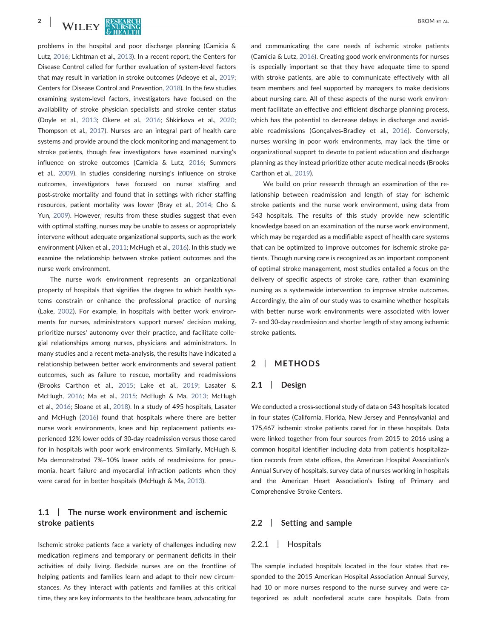2 | WILEY-NURSING BROM ET AL.

problems in the hospital and poor discharge planning (Camicia & Lutz, [2016;](#page-7-5) Lichtman et al., [2013](#page-8-5)). In a recent report, the Centers for Disease Control called for further evaluation of system‐level factors that may result in variation in stroke outcomes (Adeoye et al., [2019](#page-6-0); Centers for Disease Control and Prevention, [2018](#page-7-6)). In the few studies examining system‐level factors, investigators have focused on the availability of stroke physician specialists and stroke center status (Doyle et al., [2013;](#page-7-4) Okere et al., [2016;](#page-8-2) Shkirkova et al., [2020](#page-8-3); Thompson et al., [2017](#page-8-4)). Nurses are an integral part of health care systems and provide around the clock monitoring and management to stroke patients, though few investigators have examined nursing's influence on stroke outcomes (Camicia & Lutz, [2016;](#page-7-5) Summers et al., [2009\)](#page-8-6). In studies considering nursing's influence on stroke outcomes, investigators have focused on nurse staffing and post‐stroke mortality and found that in settings with richer staffing resources, patient mortality was lower (Bray et al., [2014;](#page-7-7) Cho & Yun, [2009\)](#page-7-8). However, results from these studies suggest that even with optimal staffing, nurses may be unable to assess or appropriately intervene without adequate organizational supports, such as the work environment (Aiken et al., [2011](#page-6-1); McHugh et al., [2016\)](#page-8-7). In this study we examine the relationship between stroke patient outcomes and the nurse work environment.

The nurse work environment represents an organizational property of hospitals that signifies the degree to which health systems constrain or enhance the professional practice of nursing (Lake, [2002](#page-7-9)). For example, in hospitals with better work environments for nurses, administrators support nurses' decision making, prioritize nurses' autonomy over their practice, and facilitate collegial relationships among nurses, physicians and administrators. In many studies and a recent meta‐analysis, the results have indicated a relationship between better work environments and several patient outcomes, such as failure to rescue, mortality and readmissions (Brooks Carthon et al., [2015;](#page-7-10) Lake et al., [2019;](#page-7-11) Lasater & McHugh, [2016](#page-8-8); Ma et al., [2015;](#page-8-9) McHugh & Ma, [2013;](#page-8-10) McHugh et al., [2016;](#page-8-7) Sloane et al., [2018](#page-8-11)). In a study of 495 hospitals, Lasater and McHugh ([2016](#page-8-8)) found that hospitals where there are better nurse work environments, knee and hip replacement patients experienced 12% lower odds of 30‐day readmission versus those cared for in hospitals with poor work environments. Similarly, McHugh & Ma demonstrated 7%–10% lower odds of readmissions for pneumonia, heart failure and myocardial infraction patients when they were cared for in better hospitals (McHugh & Ma, [2013](#page-8-10)).

# 1.1 | The nurse work environment and ischemic stroke patients

Ischemic stroke patients face a variety of challenges including new medication regimens and temporary or permanent deficits in their activities of daily living. Bedside nurses are on the frontline of helping patients and families learn and adapt to their new circumstances. As they interact with patients and families at this critical time, they are key informants to the healthcare team, advocating for and communicating the care needs of ischemic stroke patients (Camicia & Lutz, [2016\)](#page-7-5). Creating good work environments for nurses is especially important so that they have adequate time to spend with stroke patients, are able to communicate effectively with all team members and feel supported by managers to make decisions about nursing care. All of these aspects of the nurse work environment facilitate an effective and efficient discharge planning process, which has the potential to decrease delays in discharge and avoidable readmissions (Gonçalves‐Bradley et al., [2016\)](#page-7-12). Conversely, nurses working in poor work environments, may lack the time or organizational support to devote to patient education and discharge planning as they instead prioritize other acute medical needs (Brooks Carthon et al., [2019](#page-7-13)).

We build on prior research through an examination of the relationship between readmission and length of stay for ischemic stroke patients and the nurse work environment, using data from 543 hospitals. The results of this study provide new scientific knowledge based on an examination of the nurse work environment, which may be regarded as a modifiable aspect of health care systems that can be optimized to improve outcomes for ischemic stroke patients. Though nursing care is recognized as an important component of optimal stroke management, most studies entailed a focus on the delivery of specific aspects of stroke care, rather than examining nursing as a systemwide intervention to improve stroke outcomes. Accordingly, the aim of our study was to examine whether hospitals with better nurse work environments were associated with lower 7‐ and 30‐day readmission and shorter length of stay among ischemic stroke patients.

## 2 | METHODS

### 2.1 | Design

We conducted a cross-sectional study of data on 543 hospitals located in four states (California, Florida, New Jersey and Pennsylvania) and 175,467 ischemic stroke patients cared for in these hospitals. Data were linked together from four sources from 2015 to 2016 using a common hospital identifier including data from patient's hospitalization records from state offices, the American Hospital Association's Annual Survey of hospitals, survey data of nurses working in hospitals and the American Heart Association's listing of Primary and Comprehensive Stroke Centers.

#### 2.2 | Setting and sample

#### 2.2.1 | Hospitals

The sample included hospitals located in the four states that responded to the 2015 American Hospital Association Annual Survey, had 10 or more nurses respond to the nurse survey and were categorized as adult nonfederal acute care hospitals. Data from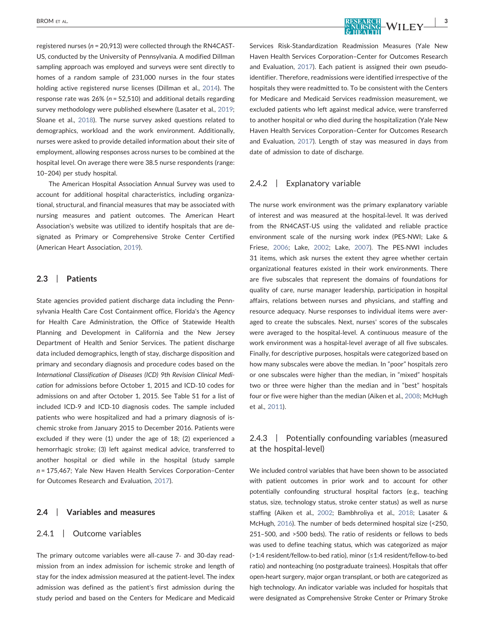registered nurses (n = 20,913) were collected through the RN4CAST‐ US, conducted by the University of Pennsylvania. A modified Dillman sampling approach was employed and surveys were sent directly to homes of a random sample of 231,000 nurses in the four states holding active registered nurse licenses (Dillman et al., [2014\)](#page-7-14). The response rate was  $26\%$  ( $n = 52,510$ ) and additional details regarding survey methodology were published elsewhere (Lasater et al., [2019;](#page-8-12) Sloane et al., [2018](#page-8-11)). The nurse survey asked questions related to demographics, workload and the work environment. Additionally, nurses were asked to provide detailed information about their site of employment, allowing responses across nurses to be combined at the hospital level. On average there were 38.5 nurse respondents (range: 10–204) per study hospital.

The American Hospital Association Annual Survey was used to account for additional hospital characteristics, including organizational, structural, and financial measures that may be associated with nursing measures and patient outcomes. The American Heart Association's website was utilized to identify hospitals that are designated as Primary or Comprehensive Stroke Center Certified (American Heart Association, [2019](#page-7-15)).

#### 2.3 | Patients

State agencies provided patient discharge data including the Pennsylvania Health Care Cost Containment office, Florida's the Agency for Health Care Administration, the Office of Statewide Health Planning and Development in California and the New Jersey Department of Health and Senior Services. The patient discharge data included demographics, length of stay, discharge disposition and primary and secondary diagnosis and procedure codes based on the International Classification of Diseases (ICD) 9th Revision Clinical Medication for admissions before October 1, 2015 and ICD‐10 codes for admissions on and after October 1, 2015. See Table S1 for a list of included ICD‐9 and ICD‐10 diagnosis codes. The sample included patients who were hospitalized and had a primary diagnosis of ischemic stroke from January 2015 to December 2016. Patients were excluded if they were (1) under the age of 18; (2) experienced a hemorrhagic stroke; (3) left against medical advice, transferred to another hospital or died while in the hospital (study sample n = 175,467; Yale New Haven Health Services Corporation–Center for Outcomes Research and Evaluation, [2017\)](#page-8-13).

### 2.4 | Variables and measures

#### 2.4.1 | Outcome variables

The primary outcome variables were all‐cause 7‐ and 30‐day readmission from an index admission for ischemic stroke and length of stay for the index admission measured at the patient‐level. The index admission was defined as the patient's first admission during the study period and based on the Centers for Medicare and Medicaid Services Risk‐Standardization Readmission Measures (Yale New Haven Health Services Corporation–Center for Outcomes Research and Evaluation, [2017](#page-8-13)). Each patient is assigned their own pseudoidentifier. Therefore, readmissions were identified irrespective of the hospitals they were readmitted to. To be consistent with the Centers for Medicare and Medicaid Services readmission measurement, we excluded patients who left against medical advice, were transferred to another hospital or who died during the hospitalization (Yale New Haven Health Services Corporation–Center for Outcomes Research and Evaluation, [2017](#page-8-13)). Length of stay was measured in days from date of admission to date of discharge.

#### 2.4.2 | Explanatory variable

The nurse work environment was the primary explanatory variable of interest and was measured at the hospital‐level. It was derived from the RN4CAST-US using the validated and reliable practice environment scale of the nursing work index (PES‐NWI; Lake & Friese, [2006](#page-7-16); Lake, [2002](#page-7-9); Lake, [2007\)](#page-7-17). The PES‐NWI includes 31 items, which ask nurses the extent they agree whether certain organizational features existed in their work environments. There are five subscales that represent the domains of foundations for quality of care, nurse manager leadership, participation in hospital affairs, relations between nurses and physicians, and staffing and resource adequacy. Nurse responses to individual items were averaged to create the subscales. Next, nurses' scores of the subscales were averaged to the hospital-level. A continuous measure of the work environment was a hospital-level average of all five subscales. Finally, for descriptive purposes, hospitals were categorized based on how many subscales were above the median. In "poor" hospitals zero or one subscales were higher than the median, in "mixed" hospitals two or three were higher than the median and in "best" hospitals four or five were higher than the median (Aiken et al., [2008;](#page-6-2) McHugh et al., [2011\)](#page-8-14).

# 2.4.3 | Potentially confounding variables (measured at the hospital‐level)

We included control variables that have been shown to be associated with patient outcomes in prior work and to account for other potentially confounding structural hospital factors (e.g., teaching status, size, technology status, stroke center status) as well as nurse staffing (Aiken et al., [2002](#page-7-18); Bambhroliya et al., [2018](#page-7-3); Lasater & McHugh, [2016](#page-8-8)). The number of beds determined hospital size (<250, 251–500, and >500 beds). The ratio of residents or fellows to beds was used to define teaching status, which was categorized as major (>1:4 resident/fellow‐to‐bed ratio), minor (≤1:4 resident/fellow‐to‐bed ratio) and nonteaching (no postgraduate trainees). Hospitals that offer open‐heart surgery, major organ transplant, or both are categorized as high technology. An indicator variable was included for hospitals that were designated as Comprehensive Stroke Center or Primary Stroke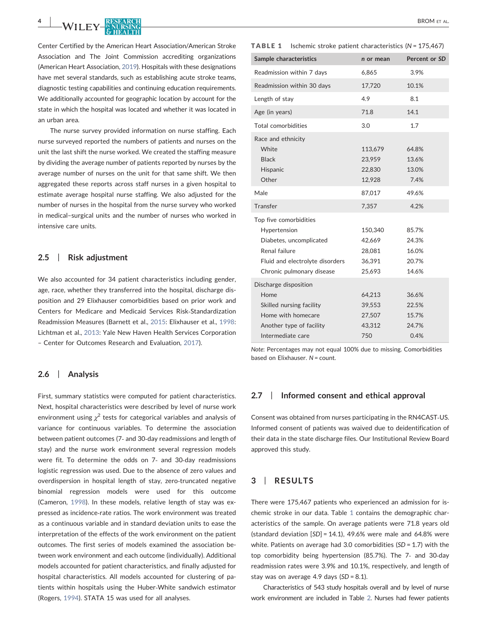Center Certified by the American Heart Association/American Stroke Association and The Joint Commission accrediting organizations (American Heart Association, [2019\)](#page-7-15). Hospitals with these designations have met several standards, such as establishing acute stroke teams, diagnostic testing capabilities and continuing education requirements. We additionally accounted for geographic location by account for the state in which the hospital was located and whether it was located in an urban area.

The nurse survey provided information on nurse staffing. Each nurse surveyed reported the numbers of patients and nurses on the unit the last shift the nurse worked. We created the staffing measure by dividing the average number of patients reported by nurses by the average number of nurses on the unit for that same shift. We then aggregated these reports across staff nurses in a given hospital to estimate average hospital nurse staffing. We also adjusted for the number of nurses in the hospital from the nurse survey who worked in medical–surgical units and the number of nurses who worked in intensive care units.

### 2.5 | Risk adjustment

We also accounted for 34 patient characteristics including gender, age, race, whether they transferred into the hospital, discharge disposition and 29 Elixhauser comorbidities based on prior work and Centers for Medicare and Medicaid Services Risk‐Standardization Readmission Measures (Barnett et al., [2015:](#page-7-19) Elixhauser et al., [1998](#page-7-20): Lichtman et al., [2013:](#page-8-5) Yale New Haven Health Services Corporation – Center for Outcomes Research and Evaluation, [2017\)](#page-8-13).

#### 2.6 | Analysis

First, summary statistics were computed for patient characteristics. Next, hospital characteristics were described by level of nurse work environment using  $\chi^2$  tests for categorical variables and analysis of variance for continuous variables. To determine the association between patient outcomes (7‐ and 30‐day readmissions and length of stay) and the nurse work environment several regression models were fit. To determine the odds on 7‐ and 30‐day readmissions logistic regression was used. Due to the absence of zero values and overdispersion in hospital length of stay, zero‐truncated negative binomial regression models were used for this outcome (Cameron, [1998](#page-7-21)). In these models, relative length of stay was expressed as incidence‐rate ratios. The work environment was treated as a continuous variable and in standard deviation units to ease the interpretation of the effects of the work environment on the patient outcomes. The first series of models examined the association between work environment and each outcome (individually). Additional models accounted for patient characteristics, and finally adjusted for hospital characteristics. All models accounted for clustering of patients within hospitals using the Huber‐White sandwich estimator (Rogers, [1994](#page-8-15)). STATA 15 was used for all analyses.

<span id="page-3-0"></span>

|  | <b>TABLE 1</b> |  |  |  |  | Ischemic stroke patient characteristics ( $N = 175,467$ ) |  |  |  |
|--|----------------|--|--|--|--|-----------------------------------------------------------|--|--|--|
|--|----------------|--|--|--|--|-----------------------------------------------------------|--|--|--|

| Sample characteristics                                                                                                                             | n or mean                                       | Percent or SD                             |
|----------------------------------------------------------------------------------------------------------------------------------------------------|-------------------------------------------------|-------------------------------------------|
| Readmission within 7 days                                                                                                                          | 6,865                                           | 3.9%                                      |
| Readmission within 30 days                                                                                                                         | 17,720                                          | 10.1%                                     |
| Length of stay                                                                                                                                     | 4.9                                             | 8.1                                       |
| Age (in years)                                                                                                                                     | 71.8                                            | 14.1                                      |
| Total comorbidities                                                                                                                                | 3.0                                             | 1.7                                       |
| Race and ethnicity<br>White<br><b>Black</b><br>Hispanic<br>Other                                                                                   | 113,679<br>23,959<br>22,830<br>12,928           | 64.8%<br>13.6%<br>13.0%<br>7.4%           |
| Male                                                                                                                                               | 87,017                                          | 49.6%                                     |
| Transfer                                                                                                                                           | 7,357                                           | 4.2%                                      |
| Top five comorbidities<br>Hypertension<br>Diabetes, uncomplicated<br>Renal failure<br>Fluid and electrolyte disorders<br>Chronic pulmonary disease | 150,340<br>42,669<br>28,081<br>36,391<br>25,693 | 85.7%<br>24.3%<br>16.0%<br>20.7%<br>14.6% |
| Discharge disposition<br>Home<br>Skilled nursing facility<br>Home with homecare<br>Another type of facility<br>Intermediate care                   | 64,213<br>39,553<br>27,507<br>43,312<br>750     | 36.6%<br>22.5%<br>15.7%<br>24.7%<br>0.4%  |

Note: Percentages may not equal 100% due to missing. Comorbidities based on Elixhauser. N = count.

#### 2.7 | Informed consent and ethical approval

Consent was obtained from nurses participating in the RN4CAST‐US. Informed consent of patients was waived due to deidentification of their data in the state discharge files. Our Institutional Review Board approved this study.

# 3 | RESULTS

There were 175,467 patients who experienced an admission for ischemic stroke in our data. Table [1](#page-3-0) contains the demographic characteristics of the sample. On average patients were 71.8 years old (standard deviation  $[SD] = 14.1$ ), 49.6% were male and 64.8% were white. Patients on average had 3.0 comorbidities (SD = 1.7) with the top comorbidity being hypertension (85.7%). The 7‐ and 30‐day readmission rates were 3.9% and 10.1%, respectively, and length of stay was on average 4.9 days  $(SD = 8.1)$ .

Characteristics of 543 study hospitals overall and by level of nurse work environment are included in Table [2](#page-4-0). Nurses had fewer patients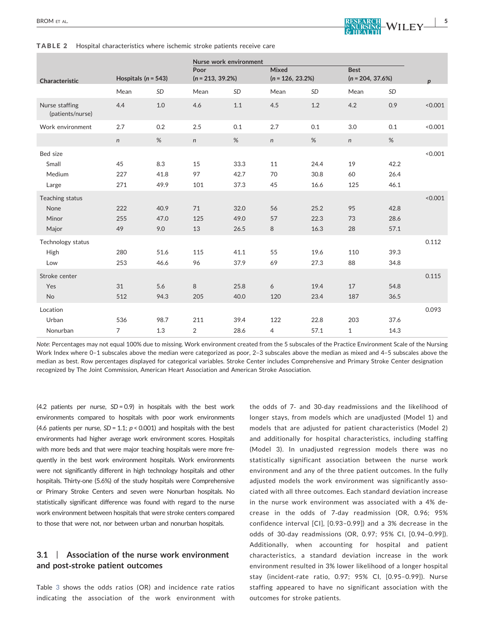<span id="page-4-0"></span>TABLE 2 Hospital characteristics where ischemic stroke patients receive care

| Hospitals ( $n = 543$ )<br>Characteristic |                       |                     | Nurse work environment<br>Poor<br>$(n = 213, 39.2\%)$ |                      | Mixed<br>$(n = 126, 23.2\%)$ |                      | <b>Best</b><br>$(n = 204, 37.6%)$ |                      | $\boldsymbol{p}$ |  |
|-------------------------------------------|-----------------------|---------------------|-------------------------------------------------------|----------------------|------------------------------|----------------------|-----------------------------------|----------------------|------------------|--|
|                                           | Mean                  | SD                  | Mean                                                  | <b>SD</b>            | Mean                         | <b>SD</b>            | Mean                              | <b>SD</b>            |                  |  |
| Nurse staffing<br>(patients/nurse)        | 4.4                   | 1.0                 | 4.6                                                   | 1.1                  | 4.5                          | 1.2                  | 4.2                               | 0.9                  | < 0.001          |  |
| Work environment                          | 2.7                   | 0.2                 | 2.5                                                   | 0.1                  | 2.7                          | 0.1                  | 3.0                               | 0.1                  | < 0.001          |  |
|                                           | $\mathsf{n}$          | %                   | $\mathsf{n}$                                          | %                    | $\mathsf{n}$                 | %                    | n                                 | %                    |                  |  |
| Bed size<br>Small<br>Medium<br>Large      | 45<br>227<br>271      | 8.3<br>41.8<br>49.9 | 15<br>97<br>101                                       | 33.3<br>42.7<br>37.3 | 11<br>70<br>45               | 24.4<br>30.8<br>16.6 | 19<br>60<br>125                   | 42.2<br>26.4<br>46.1 | < 0.001          |  |
| Teaching status<br>None<br>Minor<br>Major | 222<br>255<br>49      | 40.9<br>47.0<br>9.0 | 71<br>125<br>13                                       | 32.0<br>49.0<br>26.5 | 56<br>57<br>8                | 25.2<br>22.3<br>16.3 | 95<br>73<br>28                    | 42.8<br>28.6<br>57.1 | < 0.001          |  |
| Technology status<br>High<br>Low          | 280<br>253            | 51.6<br>46.6        | 115<br>96                                             | 41.1<br>37.9         | 55<br>69                     | 19.6<br>27.3         | 110<br>88                         | 39.3<br>34.8         | 0.112            |  |
| Stroke center<br>Yes<br><b>No</b>         | 31<br>512             | 5.6<br>94.3         | 8<br>205                                              | 25.8<br>40.0         | 6<br>120                     | 19.4<br>23.4         | 17<br>187                         | 54.8<br>36.5         | 0.115            |  |
| Location<br>Urban<br>Nonurban             | 536<br>$\overline{7}$ | 98.7<br>1.3         | 211<br>2                                              | 39.4<br>28.6         | 122<br>4                     | 22.8<br>57.1         | 203<br>$\mathbf{1}$               | 37.6<br>14.3         | 0.093            |  |

Note: Percentages may not equal 100% due to missing. Work environment created from the 5 subscales of the Practice Environment Scale of the Nursing Work Index where 0–1 subscales above the median were categorized as poor, 2–3 subscales above the median as mixed and 4–5 subscales above the median as best. Row percentages displayed for categorical variables. Stroke Center includes Comprehensive and Primary Stroke Center designation recognized by The Joint Commission, American Heart Association and American Stroke Association.

(4.2 patients per nurse,  $SD = 0.9$ ) in hospitals with the best work environments compared to hospitals with poor work environments (4.6 patients per nurse,  $SD = 1.1$ ;  $p < 0.001$ ) and hospitals with the best environments had higher average work environment scores. Hospitals with more beds and that were major teaching hospitals were more frequently in the best work environment hospitals. Work environments were not significantly different in high technology hospitals and other hospitals. Thirty-one (5.6%) of the study hospitals were Comprehensive or Primary Stroke Centers and seven were Nonurban hospitals. No statistically significant difference was found with regard to the nurse work environment between hospitals that were stroke centers compared to those that were not, nor between urban and nonurban hospitals.

# 3.1 | Association of the nurse work environment and post‐stroke patient outcomes

Table [3](#page-5-0) shows the odds ratios (OR) and incidence rate ratios indicating the association of the work environment with the odds of 7‐ and 30‐day readmissions and the likelihood of longer stays, from models which are unadjusted (Model 1) and models that are adjusted for patient characteristics (Model 2) and additionally for hospital characteristics, including staffing (Model 3). In unadjusted regression models there was no statistically significant association between the nurse work environment and any of the three patient outcomes. In the fully adjusted models the work environment was significantly associated with all three outcomes. Each standard deviation increase in the nurse work environment was associated with a 4% decrease in the odds of 7‐day readmission (OR, 0.96; 95% confidence interval [CI], [0.93–0.99]) and a 3% decrease in the odds of 30‐day readmissions (OR, 0.97; 95% CI, [0.94–0.99]). Additionally, when accounting for hospital and patient characteristics, a standard deviation increase in the work environment resulted in 3% lower likelihood of a longer hospital stay (incident‐rate ratio, 0.97; 95% CI, [0.95–0.99]). Nurse staffing appeared to have no significant association with the outcomes for stroke patients.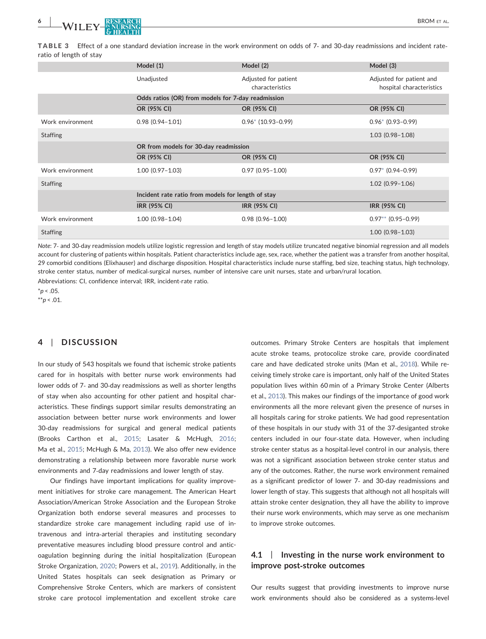<span id="page-5-0"></span>TABLE 3 Effect of a one standard deviation increase in the work environment on odds of 7‐ and 30‐day readmissions and incident rate‐ ratio of length of stay

|                  | Model (1)                                          | Model (2)                               | Model (3)                                            |  |  |  |  |  |
|------------------|----------------------------------------------------|-----------------------------------------|------------------------------------------------------|--|--|--|--|--|
|                  | Unadjusted                                         | Adjusted for patient<br>characteristics | Adjusted for patient and<br>hospital characteristics |  |  |  |  |  |
|                  | Odds ratios (OR) from models for 7-day readmission |                                         |                                                      |  |  |  |  |  |
|                  | OR (95% CI)                                        | OR (95% CI)                             | OR (95% CI)                                          |  |  |  |  |  |
| Work environment | $0.98(0.94 - 1.01)$                                | $0.96*$ (10.93-0.99)                    | $0.96* (0.93-0.99)$                                  |  |  |  |  |  |
| <b>Staffing</b>  |                                                    |                                         | $1.03(0.98 - 1.08)$                                  |  |  |  |  |  |
|                  | OR from models for 30-day readmission              |                                         |                                                      |  |  |  |  |  |
|                  | OR (95% CI)                                        | OR (95% CI)                             | OR (95% CI)                                          |  |  |  |  |  |
| Work environment | $1.00(0.97 - 1.03)$                                | $0.97(0.95 - 1.00)$                     | $0.97*$ (0.94-0.99)                                  |  |  |  |  |  |
| <b>Staffing</b>  |                                                    |                                         | $1.02(0.99 - 1.06)$                                  |  |  |  |  |  |
|                  | Incident rate ratio from models for length of stay |                                         |                                                      |  |  |  |  |  |
|                  | <b>IRR (95% CI)</b>                                | <b>IRR (95% CI)</b>                     | <b>IRR (95% CI)</b>                                  |  |  |  |  |  |
| Work environment | $1.00(0.98 - 1.04)$                                | $0.98(0.96 - 1.00)$                     | $0.97**$ (0.95-0.99)                                 |  |  |  |  |  |
| <b>Staffing</b>  |                                                    |                                         | $1.00(0.98 - 1.03)$                                  |  |  |  |  |  |

Note: 7- and 30-day readmission models utilize logistic regression and length of stay models utilize truncated negative binomial regression and all models account for clustering of patients within hospitals. Patient characteristics include age, sex, race, whether the patient was a transfer from another hospital, 29 comorbid conditions (Elixhauser) and discharge disposition. Hospital characteristics include nurse staffing, bed size, teaching status, high technology, stroke center status, number of medical‐surgical nurses, number of intensive care unit nurses, state and urban/rural location.

Abbreviations: CI, confidence interval; IRR, incident‐rate ratio.

<span id="page-5-1"></span> $*_{p}$  < .05.

<span id="page-5-2"></span> $*^{*}p$  < .01.

### 4 | DISCUSSION

In our study of 543 hospitals we found that ischemic stroke patients cared for in hospitals with better nurse work environments had lower odds of 7‐ and 30‐day readmissions as well as shorter lengths of stay when also accounting for other patient and hospital characteristics. These findings support similar results demonstrating an association between better nurse work environments and lower 30‐day readmissions for surgical and general medical patients (Brooks Carthon et al., [2015;](#page-7-10) Lasater & McHugh, [2016](#page-8-8); Ma et al., [2015](#page-8-9); McHugh & Ma, [2013\)](#page-8-10). We also offer new evidence demonstrating a relationship between more favorable nurse work environments and 7‐day readmissions and lower length of stay.

Our findings have important implications for quality improvement initiatives for stroke care management. The American Heart Association/American Stroke Association and the European Stroke Organization both endorse several measures and processes to standardize stroke care management including rapid use of intravenous and intra‐arterial therapies and instituting secondary preventative measures including blood pressure control and anticoagulation beginning during the initial hospitalization (European Stroke Organization, [2020](#page-7-22); Powers et al., [2019](#page-8-16)). Additionally, in the United States hospitals can seek designation as Primary or Comprehensive Stroke Centers, which are markers of consistent stroke care protocol implementation and excellent stroke care

outcomes. Primary Stroke Centers are hospitals that implement acute stroke teams, protocolize stroke care, provide coordinated care and have dedicated stroke units (Man et al., [2018](#page-7-23)). While receiving timely stroke care is important, only half of the United States population lives within 60 min of a Primary Stroke Center (Alberts et al., [2013](#page-7-23)). This makes our findings of the importance of good work environments all the more relevant given the presence of nurses in all hospitals caring for stroke patients. We had good representation of these hospitals in our study with 31 of the 37‐desiganted stroke centers included in our four‐state data. However, when including stroke center status as a hospital‐level control in our analysis, there was not a significant association between stroke center status and any of the outcomes. Rather, the nurse work environment remained as a significant predictor of lower 7‐ and 30‐day readmissions and lower length of stay. This suggests that although not all hospitals will attain stroke center designation, they all have the ability to improve their nurse work environments, which may serve as one mechanism to improve stroke outcomes.

# 4.1 | Investing in the nurse work environment to improve post‐stroke outcomes

Our results suggest that providing investments to improve nurse work environments should also be considered as a systems‐level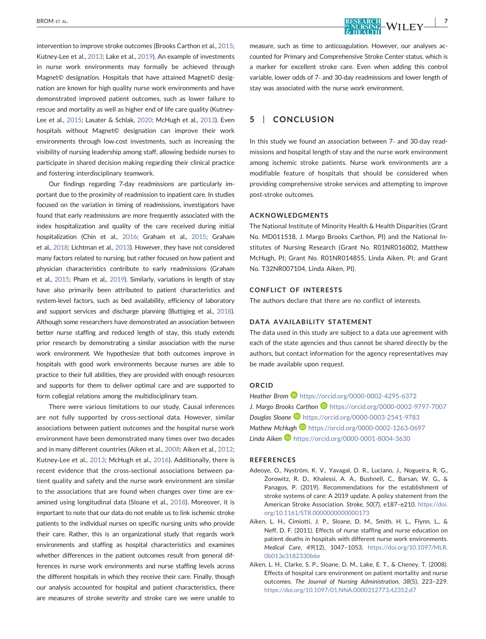intervention to improve stroke outcomes (Brooks Carthon et al., [2015;](#page-7-10) Kutney‐Lee et al., [2013;](#page-7-24) Lake et al., [2019](#page-7-11)). An example of investments in nurse work environments may formally be achieved through Magnet© designation. Hospitals that have attained Magnet© designation are known for high quality nurse work environments and have demonstrated improved patient outcomes, such as lower failure to rescue and mortality as well as higher end of life care quality (Kutney‐ Lee et al., [2015;](#page-7-25) Lasater & Schlak, [2020](#page-8-17); McHugh et al., [2013\)](#page-8-18). Even hospitals without Magnet© designation can improve their work environments through low‐cost investments, such as increasing the visibility of nursing leadership among staff, allowing bedside nurses to participate in shared decision making regarding their clinical practice and fostering interdisciplinary teamwork.

Our findings regarding 7‐day readmissions are particularly important due to the proximity of readmission to inpatient care. In studies focused on the variation in timing of readmissions, investigators have found that early readmissions are more frequently associated with the index hospitalization and quality of the care received during initial hospitalization (Chin et al., [2016;](#page-7-26) Graham et al., [2015;](#page-7-27) Graham et al., [2018](#page-7-28); Lichtman et al., [2013](#page-8-5)). However, they have not considered many factors related to nursing, but rather focused on how patient and physician characteristics contribute to early readmissions (Graham et al., [2015;](#page-7-27) Pham et al., [2019](#page-8-19)). Similarly, variations in length of stay have also primarily been attributed to patient characteristics and system-level factors, such as bed availability, efficiency of laboratory and support services and discharge planning (Buttigieg et al., [2018\)](#page-7-29). Although some researchers have demonstrated an association between better nurse staffing and reduced length of stay, this study extends prior research by demonstrating a similar association with the nurse work environment. We hypothesize that both outcomes improve in hospitals with good work environments because nurses are able to practice to their full abilities, they are provided with enough resources and supports for them to deliver optimal care and are supported to form collegial relations among the multidisciplinary team.

There were various limitations to our study. Causal inferences are not fully supported by cross‐sectional data. However, similar associations between patient outcomes and the hospital nurse work environment have been demonstrated many times over two decades and in many different countries (Aiken et al., [2008](#page-6-2); Aiken et al., [2012;](#page-7-30) Kutney‐Lee et al., [2013;](#page-7-24) McHugh et al., [2016\)](#page-8-7). Additionally, there is recent evidence that the cross‐sectional associations between patient quality and safety and the nurse work environment are similar to the associations that are found when changes over time are examined using longitudinal data (Sloane et al., [2018](#page-8-11)). Moreover, it is important to note that our data do not enable us to link ischemic stroke patients to the individual nurses on specific nursing units who provide their care. Rather, this is an organizational study that regards work environments and staffing as hospital characteristics and examines whether differences in the patient outcomes result from general differences in nurse work environments and nurse staffing levels across the different hospitals in which they receive their care. Finally, though our analysis accounted for hospital and patient characteristics, there are measures of stroke severity and stroke care we were unable to

measure, such as time to anticoagulation. However, our analyses accounted for Primary and Comprehensive Stroke Center status, which is a marker for excellent stroke care. Even when adding this control variable, lower odds of 7‐ and 30‐day readmissions and lower length of stay was associated with the nurse work environment.

# 5 | CONCLUSION

In this study we found an association between 7‐ and 30‐day readmissions and hospital length of stay and the nurse work environment among ischemic stroke patients. Nurse work environments are a modifiable feature of hospitals that should be considered when providing comprehensive stroke services and attempting to improve post‐stroke outcomes.

#### ACKNOWLEDGMENTS

The National Institute of Minority Health & Health Disparities (Grant No. MD011518, J. Margo Brooks Carthon, PI) and the National Institutes of Nursing Research (Grant No. R01NR016002, Matthew McHugh, PI; Grant No. R01NR014855, Linda Aiken, PI; and Grant No. T32NR007104, Linda Aiken, PI).

#### CONFLICT OF INTERESTS

The authors declare that there are no conflict of interests.

#### DATA AVAILABILITY STATEMENT

The data used in this study are subject to a data use agreement with each of the state agencies and thus cannot be shared directly by the authors, but contact information for the agency representatives may be made available upon request.

# ORCID

Heather Brom **b** <https://orcid.org/0000-0002-4295-6372> J. Margo Brooks Carthon D <https://orcid.org/0000-0002-9797-7007> Douglas Sloane <https://orcid.org/0000-0003-2541-9783> Mathew McHugh **b** <https://orcid.org/0000-0002-1263-0697> Linda Aiken <https://orcid.org/0000-0001-8004-3630>

#### REFERENCES

- <span id="page-6-0"></span>Adeoye, O., Nyström, K. V., Yavagal, D. R., Luciano, J., Nogueira, R. G., Zorowitz, R. D., Khalessi, A. A., Bushnell, C., Barsan, W. G., & Panagos, P. (2019). Recommendations for the establishment of stroke systems of care: A 2019 update. A policy statement from the American Stroke Association. Stroke, 50(7), e187–e210. [https://doi.](https://doi.org/10.1161/STR.0000000000000173) [org/10.1161/STR.0000000000000173](https://doi.org/10.1161/STR.0000000000000173)
- <span id="page-6-1"></span>Aiken, L. H., Cimiotti, J. P., Sloane, D. M., Smith, H. L., Flynn, L., & Neff, D. F. (2011). Effects of nurse staffing and nurse education on patient deaths in hospitals with different nurse work environments. Medical Care, 49(12), 1047–1053. [https://doi.org/10.1097/MLR.](https://doi.org/10.1097/MLR.0b013e3182330b6e) [0b013e3182330b6e](https://doi.org/10.1097/MLR.0b013e3182330b6e)
- <span id="page-6-2"></span>Aiken, L. H., Clarke, S. P., Sloane, D. M., Lake, E. T., & Cheney, T. (2008). Effects of hospital care environment on patient mortality and nurse outcomes. The Journal of Nursing Administration, 38(5), 223–229. <https://doi.org/10.1097/01.NNA.0000312773.42352.d7>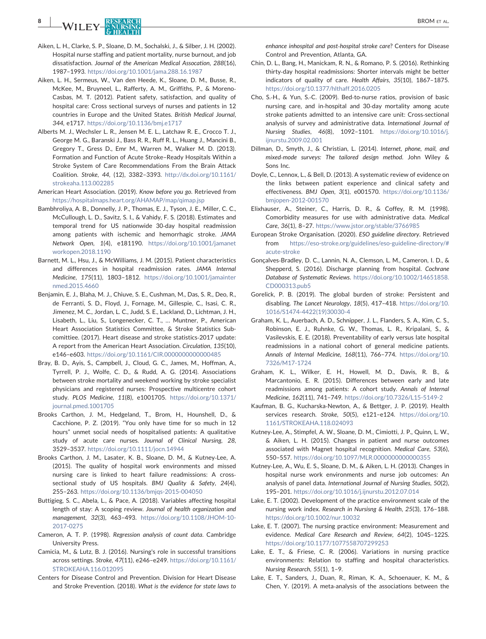# EXPRESEARCH BROM ET AL. BROM ET AL.

- <span id="page-7-18"></span>Aiken, L. H., Clarke, S. P., Sloane, D. M., Sochalski, J., & Silber, J. H. (2002). Hospital nurse staffing and patient mortality, nurse burnout, and job dissatisfaction. Journal of the American Medical Assocation, 288(16), 1987–1993. <https://doi.org/10.1001/jama.288.16.1987>
- <span id="page-7-30"></span>Aiken, L. H., Sermeus, W., Van den Heede, K., Sloane, D. M., Busse, R., McKee, M., Bruyneel, L., Rafferty, A. M., Griffiths, P., & Moreno‐ Casbas, M. T. (2012). Patient safety, satisfaction, and quality of hospital care: Cross sectional surveys of nurses and patients in 12 countries in Europe and the United States. British Medical Journal, 344, e1717. <https://doi.org/10.1136/bmj.e1717>
- <span id="page-7-23"></span>Alberts M. J., Wechsler L. R., Jensen M. E. L., Latchaw R. E., Crocco T. J., George M. G., Baranski J., Bass R. R., Ruff R. L., Huang J., Mancini B., Gregory T., Gress D., Emr M., Warren M., Walker M. D. (2013). Formation and Function of Acute Stroke–Ready Hospitals Within a Stroke System of Care Recommendations From the Brain Attack Coalition. Stroke, 44, (12), 3382–3393. [http://dx.doi.org/10.1161/](http://dx.doi.org/10.1161/strokeaha.113.002285) [strokeaha.113.002285](http://dx.doi.org/10.1161/strokeaha.113.002285)
- <span id="page-7-15"></span>American Heart Association. (2019). Know before you go. Retrieved from <https://hospitalmaps.heart.org/AHAMAP/map/qimap.jsp>
- <span id="page-7-3"></span>Bambhroliya, A. B., Donnelly, J. P., Thomas, E. J., Tyson, J. E., Miller, C. C., McCullough, L. D., Savitz, S. I., & Vahidy, F. S. (2018). Estimates and temporal trend for US nationwide 30‐day hospital readmission among patients with ischemic and hemorrhagic stroke. JAMA Network Open, 1(4), e181190. [https://doi.org/10.1001/jamanet](https://doi.org/10.1001/jamanetworkopen.2018.1190) workopen. 2018.1190
- <span id="page-7-19"></span>Barnett, M. L., Hsu, J., & McWilliams, J. M. (2015). Patient characteristics and differences in hospital readmission rates. JAMA Internal Medicine, 175(11), 1803–1812. [https://doi.org/10.1001/jamainter](https://doi.org/10.1001/jamainternmed.2015.4660) [nmed.2015.4660](https://doi.org/10.1001/jamainternmed.2015.4660)
- <span id="page-7-0"></span>Benjamin, E. J., Blaha, M. J., Chiuve, S. E., Cushman, M., Das, S. R., Deo, R., de Ferranti, S. D., Floyd, J., Fornage, M., Gillespie, C., Isasi, C. R., Jimenez, M. C., Jordan, L. C., Judd, S. E., Lackland, D., Lichtman, J. H., Lisabeth, L., Liu, S., Longenecker, C. T., … Muntner, P., American Heart Association Statistics Committee, & Stroke Statistics Subcomittiee. (2017). Heart disease and stroke statistics‐2017 update: A report from the American Heart Association. Circulation, 135(10), e146–e603. <https://doi.org/10.1161/CIR.0000000000000485>
- <span id="page-7-7"></span>Bray, B. D., Ayis, S., Campbell, J., Cloud, G. C., James, M., Hoffman, A., Tyrrell, P. J., Wolfe, C. D., & Rudd, A. G. (2014). Associations between stroke mortality and weekend working by stroke specialist physicians and registered nurses: Prospective multicentre cohort study. PLOS Medicine, 11(8), e1001705. [https://doi.org/10.1371/](https://doi.org/10.1371/journal.pmed.1001705) [journal.pmed.1001705](https://doi.org/10.1371/journal.pmed.1001705)
- <span id="page-7-13"></span>Brooks Carthon, J. M., Hedgeland, T., Brom, H., Hounshell, D., & Cacchione, P. Z. (2019). "You only have time for so much in 12 hours" unmet social needs of hospitalised patients: A qualitative study of acute care nurses. Journal of Clinical Nursing, 28, 3529–3537. <https://doi.org/10.1111/jocn.14944>
- <span id="page-7-10"></span>Brooks Carthon, J. M., Lasater, K. B., Sloane, D. M., & Kutney‐Lee, A. (2015). The quality of hospital work environments and missed nursing care is linked to heart failure readmissions: A crosssectional study of US hospitals. BMJ Quality & Safety, 24(4), 255–263. <https://doi.org/10.1136/bmjqs-2015-004050>
- <span id="page-7-29"></span>Buttigieg, S. C., Abela, L., & Pace, A. (2018). Variables affecting hospital length of stay: A scoping review. Journal of health organization and management, 32(3), 463–493. [https://doi.org/10.1108/JHOM-10-](https://doi.org/10.1108/JHOM-10-2017-0275) [2017-0275](https://doi.org/10.1108/JHOM-10-2017-0275)
- <span id="page-7-21"></span>Cameron, A. T. P. (1998). Regression analysis of count data. Cambridge University Press.
- <span id="page-7-5"></span>Camicia, M., & Lutz, B. J. (2016). Nursing's role in successful transitions across settings. Stroke, 47(11), e246–e249. [https://doi.org/10.1161/](https://doi.org/10.1161/STROKEAHA.116.012095) [STROKEAHA.116.012095](https://doi.org/10.1161/STROKEAHA.116.012095)
- <span id="page-7-6"></span>Centers for Disease Control and Prevention. Division for Heart Disease and Stroke Prevention. (2018). What is the evidence for state laws to

enhance inhospital and post-hospital stroke care? Centers for Disease Control and Prevention, Atlanta, GA.

- <span id="page-7-26"></span>Chin, D. L., Bang, H., Manickam, R. N., & Romano, P. S. (2016). Rethinking thirty‐day hospital readmissions: Shorter intervals might be better indicators of quality of care. Health Affairs, 35(10), 1867–1875. <https://doi.org/10.1377/hlthaff.2016.0205>
- <span id="page-7-8"></span>Cho, S.‐H., & Yun, S.‐C. (2009). Bed‐to‐nurse ratios, provision of basic nursing care, and in‐hospital and 30‐day mortality among acute stroke patients admitted to an intensive care unit: Cross‐sectional analysis of survey and administrative data. International Journal of Nursing Studies, 46(8), 1092–1101. [https://doi.org/10.1016/j.](https://doi.org/10.1016/j.ijnurstu.2009.02.001) [ijnurstu.2009.02.001](https://doi.org/10.1016/j.ijnurstu.2009.02.001)
- <span id="page-7-14"></span>Dillman, D., Smyth, J., & Christian, L. (2014). Internet, phone, mail, and mixed‐mode surveys: The tailored design method. John Wiley & Sons Inc.
- <span id="page-7-4"></span>Doyle, C., Lennox, L., & Bell, D. (2013). A systematic review of evidence on the links between patient experience and clinical safety and effectiveness. BMJ Open, 3(1), e001570. [https://doi.org/10.1136/](https://doi.org/10.1136/bmjopen-2012-001570) [bmjopen-2012-001570](https://doi.org/10.1136/bmjopen-2012-001570)
- <span id="page-7-20"></span>Elixhauser, A., Steiner, C., Harris, D. R., & Coffey, R. M. (1998). Comorbidity measures for use with administrative data. Medical Care, 36(1), 8–27. <https://www.jstor.org/stable/3766985>
- <span id="page-7-22"></span>European Stroke Organisation. (2020). ESO guideline directory. Retrieved from [https://eso-stroke.org/guidelines/eso-guideline-directory/#](https://eso-stroke.org/guidelines/eso-guideline-directory/#acute-stroke) [acute-stroke](https://eso-stroke.org/guidelines/eso-guideline-directory/#acute-stroke)
- <span id="page-7-12"></span>Gonçalves‐Bradley, D. C., Lannin, N. A., Clemson, L. M., Cameron, I. D., & Shepperd, S. (2016). Discharge planning from hospital. Cochrane Database of Systematic Reviews. [https://doi.org/10.1002/14651858.](https://doi.org/10.1002/14651858.CD000313.pub5) [CD000313.pub5](https://doi.org/10.1002/14651858.CD000313.pub5)
- <span id="page-7-1"></span>Gorelick, P. B. (2019). The global burden of stroke: Persistent and disabling. The Lancet Neurology, 18(5), 417–418. [https://doi.org/10.](https://doi.org/10.1016/S1474-4422(19)30030-4) [1016/S1474-4422\(19\)30030-4](https://doi.org/10.1016/S1474-4422(19)30030-4)
- <span id="page-7-28"></span>Graham, K. L., Auerbach, A. D., Schnipper, J. L., Flanders, S. A., Kim, C. S., Robinson, E. J., Ruhnke, G. W., Thomas, L. R., Kripalani, S., & Vasilevskis, E. E. (2018). Preventability of early versus late hospital readmissions in a national cohort of general medicine patients. Annals of Internal Medicine, 168(11), 766–774. [https://doi.org/10.](https://doi.org/10.7326/M17-1724) [7326/M17-1724](https://doi.org/10.7326/M17-1724)
- <span id="page-7-27"></span>Graham, K. L., Wilker, E. H., Howell, M. D., Davis, R. B., & Marcantonio, E. R. (2015). Differences between early and late readmissions among patients: A cohort study. Annals of Internal Medicine, 162(11), 741–749. <https://doi.org/10.7326/L15-5149-2>
- <span id="page-7-2"></span>Kaufman, B. G., Kucharska‐Newton, A., & Bettger, J. P. (2019). Health services research. Stroke, 50(5), e121–e124. [https://doi.org/10.](https://doi.org/10.1161/STROKEAHA.118.024093) [1161/STROKEAHA.118.024093](https://doi.org/10.1161/STROKEAHA.118.024093)
- <span id="page-7-25"></span>Kutney‐Lee, A., Stimpfel, A. W., Sloane, D. M., Cimiotti, J. P., Quinn, L. W., & Aiken, L. H. (2015). Changes in patient and nurse outcomes associated with Magnet hospital recognition. Medical Care, 53(6), 550–557. <https://doi.org/10.1097/MLR.0000000000000355>
- <span id="page-7-24"></span>Kutney‐Lee, A., Wu, E. S., Sloane, D. M., & Aiken, L. H. (2013). Changes in hospital nurse work environments and nurse job outcomes: An analysis of panel data. International Journal of Nursing Studies, 50(2), 195–201. <https://doi.org/10.1016/j.ijnurstu.2012.07.014>
- <span id="page-7-9"></span>Lake, E. T. (2002). Development of the practice environment scale of the nursing work index. Research in Nursisng & Health, 25(3), 176–188. <https://doi.org/10.1002/nur.10032>
- <span id="page-7-17"></span>Lake, E. T. (2007). The nursing practice environment: Measurement and evidence. Medical Care Research and Review, 64(2), 104S–122S. <https://doi.org/10.1177/1077558707299253>
- <span id="page-7-16"></span>Lake, E. T., & Friese, C. R. (2006). Variations in nursing practice environments: Relation to staffing and hospital characteristics. Nursing Research, 55(1), 1–9.
- <span id="page-7-11"></span>Lake, E. T., Sanders, J., Duan, R., Riman, K. A., Schoenauer, K. M., & Chen, Y. (2019). A meta‐analysis of the associations between the